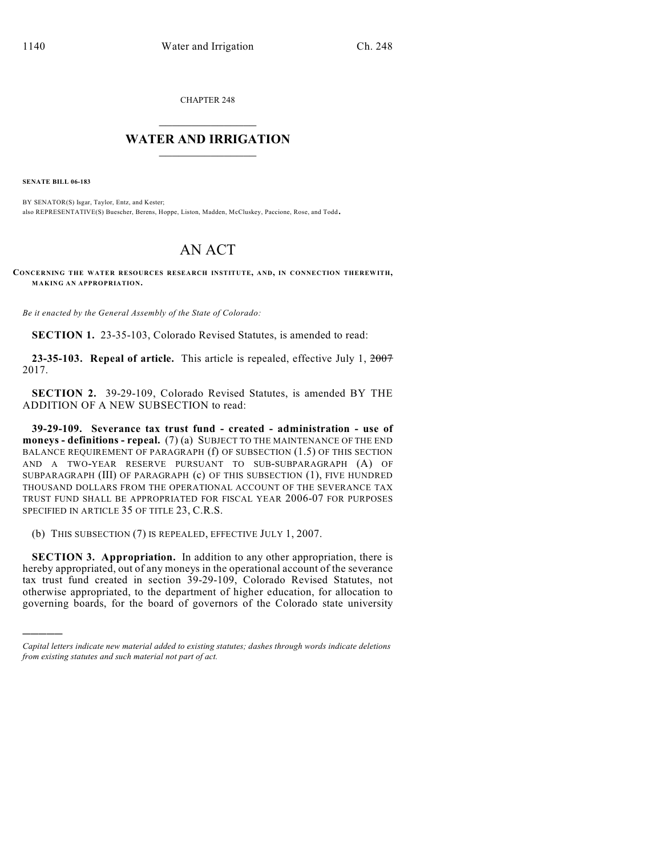CHAPTER 248

## $\overline{\phantom{a}}$  . The set of the set of the set of the set of the set of the set of the set of the set of the set of the set of the set of the set of the set of the set of the set of the set of the set of the set of the set o **WATER AND IRRIGATION**  $\_$   $\_$

**SENATE BILL 06-183**

)))))

BY SENATOR(S) Isgar, Taylor, Entz, and Kester; also REPRESENTATIVE(S) Buescher, Berens, Hoppe, Liston, Madden, McCluskey, Paccione, Rose, and Todd.

## AN ACT

**CONCERNING THE WATER RESOURCES RESEARCH INSTITUTE, AND, IN CONNECTION THEREWITH, MAKING AN APPROPRIATION.**

*Be it enacted by the General Assembly of the State of Colorado:*

**SECTION 1.** 23-35-103, Colorado Revised Statutes, is amended to read:

**23-35-103. Repeal of article.** This article is repealed, effective July 1, 2007 2017.

**SECTION 2.** 39-29-109, Colorado Revised Statutes, is amended BY THE ADDITION OF A NEW SUBSECTION to read:

**39-29-109. Severance tax trust fund - created - administration - use of moneys - definitions - repeal.** (7) (a) SUBJECT TO THE MAINTENANCE OF THE END BALANCE REQUIREMENT OF PARAGRAPH (f) OF SUBSECTION (1.5) OF THIS SECTION AND A TWO-YEAR RESERVE PURSUANT TO SUB-SUBPARAGRAPH (A) OF SUBPARAGRAPH (III) OF PARAGRAPH (c) OF THIS SUBSECTION (1), FIVE HUNDRED THOUSAND DOLLARS FROM THE OPERATIONAL ACCOUNT OF THE SEVERANCE TAX TRUST FUND SHALL BE APPROPRIATED FOR FISCAL YEAR 2006-07 FOR PURPOSES SPECIFIED IN ARTICLE 35 OF TITLE 23, C.R.S.

(b) THIS SUBSECTION (7) IS REPEALED, EFFECTIVE JULY 1, 2007.

**SECTION 3. Appropriation.** In addition to any other appropriation, there is hereby appropriated, out of any moneys in the operational account of the severance tax trust fund created in section 39-29-109, Colorado Revised Statutes, not otherwise appropriated, to the department of higher education, for allocation to governing boards, for the board of governors of the Colorado state university

*Capital letters indicate new material added to existing statutes; dashes through words indicate deletions from existing statutes and such material not part of act.*